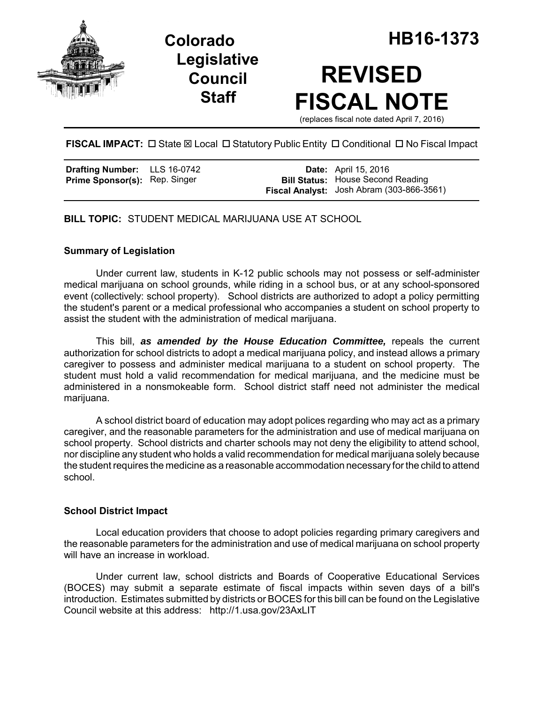

**Legislative Council Staff**

# **REVISED FISCAL NOTE**

(replaces fiscal note dated April 7, 2016)

FISCAL IMPACT:  $\Box$  State  $\boxtimes$  Local  $\Box$  Statutory Public Entity  $\Box$  Conditional  $\Box$  No Fiscal Impact

| <b>Drafting Number:</b>       | LLS 16-0742 |
|-------------------------------|-------------|
| Prime Sponsor(s): Rep. Singer |             |

**Date:** April 15, 2016 **Bill Status:** House Second Reading **Fiscal Analyst:** Josh Abram (303-866-3561)

**BILL TOPIC:** STUDENT MEDICAL MARIJUANA USE AT SCHOOL

## **Summary of Legislation**

Under current law, students in K-12 public schools may not possess or self-administer medical marijuana on school grounds, while riding in a school bus, or at any school-sponsored event (collectively: school property). School districts are authorized to adopt a policy permitting the student's parent or a medical professional who accompanies a student on school property to assist the student with the administration of medical marijuana.

This bill, *as amended by the House Education Committee,* repeals the current authorization for school districts to adopt a medical marijuana policy, and instead allows a primary caregiver to possess and administer medical marijuana to a student on school property. The student must hold a valid recommendation for medical marijuana, and the medicine must be administered in a nonsmokeable form. School district staff need not administer the medical marijuana.

A school district board of education may adopt polices regarding who may act as a primary caregiver, and the reasonable parameters for the administration and use of medical marijuana on school property. School districts and charter schools may not deny the eligibility to attend school, nor discipline any student who holds a valid recommendation for medical marijuana solely because the student requires the medicine as a reasonable accommodation necessary for the child to attend school.

## **School District Impact**

Local education providers that choose to adopt policies regarding primary caregivers and the reasonable parameters for the administration and use of medical marijuana on school property will have an increase in workload.

Under current law, school districts and Boards of Cooperative Educational Services (BOCES) may submit a separate estimate of fiscal impacts within seven days of a bill's introduction. Estimates submitted by districts or BOCES for this bill can be found on the Legislative Council website at this address: http://1.usa.gov/23AxLIT